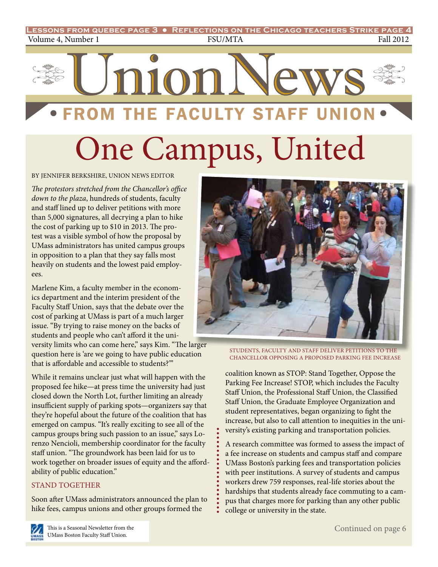

By Jennifer Berkshire, union news editor

*The protestors stretched from the Chancellor's office down to the plaza*, hundreds of students, faculty and staff lined up to deliver petitions with more than 5,000 signatures, all decrying a plan to hike the cost of parking up to \$10 in 2013. The protest was a visible symbol of how the proposal by UMass administrators has united campus groups in opposition to a plan that they say falls most heavily on students and the lowest paid employees.

Marlene Kim, a faculty member in the economics department and the interim president of the Faculty Staff Union, says that the debate over the cost of parking at UMass is part of a much larger issue. "By trying to raise money on the backs of students and people who can't afford it the university limits who can come here," says Kim. "The larger question here is 'are we going to have public education that is affordable and accessible to students?'"

While it remains unclear just what will happen with the proposed fee hike—at press time the university had just closed down the North Lot, further limiting an already insufficient supply of parking spots—organizers say that they're hopeful about the future of the coalition that has emerged on campus. "It's really exciting to see all of the campus groups bring such passion to an issue," says Lorenzo Nencioli, membership coordinator for the faculty staff union. "The groundwork has been laid for us to work together on broader issues of equity and the affordability of public education."

#### Stand together

Soon after UMass administrators announced the plan to hike fees, campus unions and other groups formed the



STUDENTS, FACULTY AND STAFF DELIVER PETITIONS TO THE chancellor opposing a proposed parking fee increase

coalition known as STOP: Stand Together, Oppose the Parking Fee Increase! STOP, which includes the Faculty Staff Union, the Professional Staff Union, the Classified Staff Union, the Graduate Employee Organization and student representatives, began organizing to fight the increase, but also to call attention to inequities in the university's existing parking and transportation policies.

A research committee was formed to assess the impact of a fee increase on students and campus staff and compare UMass Boston's parking fees and transportation policies with peer institutions. A survey of students and campus workers drew 759 responses, real-life stories about the hardships that students already face commuting to a campus that charges more for parking than any other public college or university in the state.

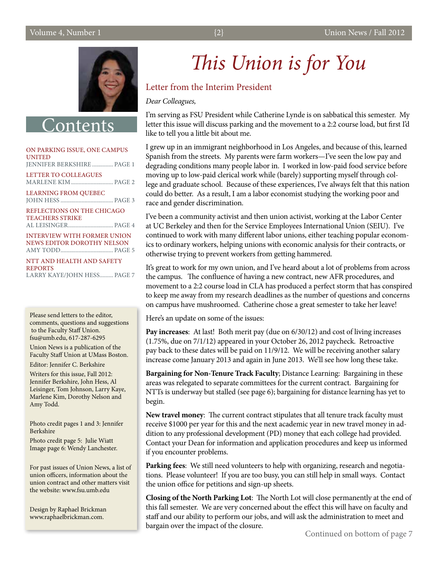

**Onten** 

#### On parking issue, One Campus **UNITED** jennifer berkshire.............. page 1 LETTER TO COLLEAGUES Marlene Kim............................ page 2 Learning from Quebec John Hess ................................... page 3 Reflections on the Chicago Teachers Strike al leisinger.............................. page 4

Interview with former union news editor Dorothy Nelson Amy Todd................................... page 5

NTT and Health and Safety **REPORTS** Larry Kaye/John Hess......... page 7

Please send letters to the editor, comments, questions and suggestions to the Faculty Staff Union. fsu@umb.edu, 617-287-6295

Union News is a publication of the Faculty Staff Union at UMass Boston.

Editor: Jennifer C. Berkshire

Writers for this issue, Fall 2012: Jennifer Berkshire, John Hess, Al Leisinger, Tom Johnson, Larry Kaye, Marlene Kim, Dorothy Nelson and Amy Todd.

Photo credit pages 1 and 3: Jennifer Berkshire

Photo credit page 5: Julie Wiatt Image page 6: Wendy Lanchester.

For past issues of Union News, a list of union officers, information about the union contract and other matters visit the website: www.fsu.umb.edu

Design by Raphael Brickman www.raphaelbrickman.com.

# *This Union is for You*

#### Letter from the Interim President

*Dear Colleagues,*

I'm serving as FSU President while Catherine Lynde is on sabbatical this semester. My letter this issue will discuss parking and the movement to a 2:2 course load, but first I'd like to tell you a little bit about me.

I grew up in an immigrant neighborhood in Los Angeles, and because of this, learned Spanish from the streets. My parents were farm workers—I've seen the low pay and degrading conditions many people labor in. I worked in low-paid food service before moving up to low-paid clerical work while (barely) supporting myself through college and graduate school. Because of these experiences, I've always felt that this nation could do better. As a result, I am a labor economist studying the working poor and race and gender discrimination.

I've been a community activist and then union activist, working at the Labor Center at UC Berkeley and then for the Service Employees International Union (SEIU). I've continued to work with many different labor unions, either teaching popular economics to ordinary workers, helping unions with economic analysis for their contracts, or otherwise trying to prevent workers from getting hammered.

It's great to work for my own union, and I've heard about a lot of problems from across the campus. The confluence of having a new contract, new AFR procedures, and movement to a 2:2 course load in CLA has produced a perfect storm that has conspired to keep me away from my research deadlines as the number of questions and concerns on campus have mushroomed. Catherine chose a great semester to take her leave!

Here's an update on some of the issues:

**Pay increases**: At last! Both merit pay (due on 6/30/12) and cost of living increases (1.75%, due on 7/1/12) appeared in your October 26, 2012 paycheck. Retroactive pay back to these dates will be paid on 11/9/12. We will be receiving another salary increase come January 2013 and again in June 2013. We'll see how long these take.

**Bargaining for Non-Tenure Track Faculty**; Distance Learning: Bargaining in these areas was relegated to separate committees for the current contract. Bargaining for NTTs is underway but stalled (see page 6); bargaining for distance learning has yet to begin.

**New travel money**: The current contract stipulates that all tenure track faculty must receive \$1000 per year for this and the next academic year in new travel money in addition to any professional development (PD) money that each college had provided. Contact your Dean for information and application procedures and keep us informed if you encounter problems.

**Parking fees**: We still need volunteers to help with organizing, research and negotiations. Please volunteer! If you are too busy, you can still help in small ways. Contact the union office for petitions and sign-up sheets.

**Closing of the North Parking Lot**: The North Lot will close permanently at the end of this fall semester. We are very concerned about the effect this will have on faculty and staff and our ability to perform our jobs, and will ask the administration to meet and bargain over the impact of the closure.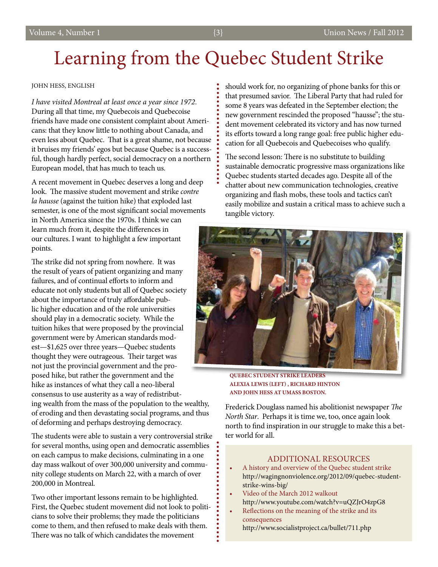## Learning from the Quebec Student Strike

#### john hess, english

*I have visited Montreal at least once a year since 1972*. During all that time, my Quebecois and Quebecoise friends have made one consistent complaint about Americans: that they know little to nothing about Canada, and even less about Quebec. That is a great shame, not because it bruises my friends' egos but because Quebec is a successful, though hardly perfect, social democracy on a northern European model, that has much to teach us.

A recent movement in Quebec deserves a long and deep look. The massive student movement and strike *contre la hausse* (against the tuition hike) that exploded last semester, is one of the most significant social movements in North America since the 1970s. I think we can

learn much from it, despite the differences in our cultures. I want to highlight a few important points.

The strike did not spring from nowhere. It was the result of years of patient organizing and many failures, and of continual efforts to inform and educate not only students but all of Quebec society about the importance of truly affordable public higher education and of the role universities should play in a democratic society. While the tuition hikes that were proposed by the provincial government were by American standards modest—\$1,625 over three years—Quebec students thought they were outrageous. Their target was not just the provincial government and the proposed hike, but rather the government and the hike as instances of what they call a neo-liberal consensus to use austerity as a way of redistributing wealth from the mass of the population to the wealthy, of eroding and then devastating social programs, and thus of deforming and perhaps destroying democracy.

The students were able to sustain a very controversial strike for several months, using open and democratic assemblies on each campus to make decisions, culminating in a one day mass walkout of over 300,000 university and community college students on March 22, with a march of over 200,000 in Montreal.

Two other important lessons remain to be highlighted. First, the Quebec student movement did not look to politicians to solve their problems; they made the politicians come to them, and then refused to make deals with them. There was no talk of which candidates the movement

should work for, no organizing of phone banks for this or that presumed savior. The Liberal Party that had ruled for some 8 years was defeated in the September election; the new government rescinded the proposed "hausse"; the student movement celebrated its victory and has now turned its efforts toward a long range goal: free public higher education for all Quebecois and Quebecoises who qualify.

The second lesson: There is no substitute to building sustainable democratic progressive mass organizations like Quebec students started decades ago. Despite all of the chatter about new communication technologies, creative organizing and flash mobs, these tools and tactics can't easily mobilize and sustain a critical mass to achieve such a tangible victory.



**Quebec student strike leaders Alexia Lewis (left) , Richard Hinton and John Hess at UMass Boston.**

Frederick Douglass named his abolitionist newspaper *The North Star*. Perhaps it is time we, too, once again look north to find inspiration in our struggle to make this a better world for all.

#### Additional Resources

- • A history and overview of the Quebec student strike http://wagingnonviolence.org/2012/09/quebec-student strike-wins-big/
- Video of the March 2012 walkout http://www.youtube.com/watch?v=uQZJrO4zpG8
- Reflections on the meaning of the strike and its consequences http://www.socialistproject.ca/bullet/711.php

ġ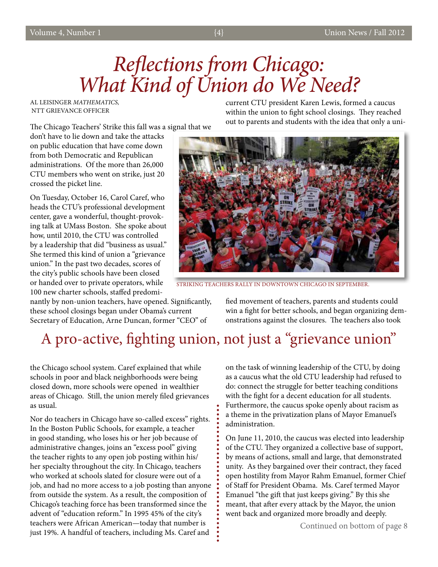# *Reflections from Chicago: What Kind of Union do We Need?*

Al leisinger *mathematics,* ntt Grievance Officer

The Chicago Teachers' Strike this fall was a signal that we

don't have to lie down and take the attacks on public education that have come down from both Democratic and Republican administrations. Of the more than 26,000 CTU members who went on strike, just 20 crossed the picket line.

On Tuesday, October 16, Carol Caref, who heads the CTU's professional development center, gave a wonderful, thought-provoking talk at UMass Boston. She spoke about how, until 2010, the CTU was controlled by a leadership that did "business as usual." She termed this kind of union a "grievance union." In the past two decades, scores of the city's public schools have been closed or handed over to private operators, while 100 new charter schools, staffed predomi-

nantly by non-union teachers, have opened. Significantly, these school closings began under Obama's current Secretary of Education, Arne Duncan, former "CEO" of

current CTU president Karen Lewis, formed a caucus within the union to fight school closings. They reached out to parents and students with the idea that only a uni-



Striking teachers Rally in downtown Chicago in September.

fied movement of teachers, parents and students could win a fight for better schools, and began organizing demonstrations against the closures. The teachers also took

## A pro-active, fighting union, not just a "grievance union"

the Chicago school system. Caref explained that while schools in poor and black neighborhoods were being closed down, more schools were opened in wealthier areas of Chicago. Still, the union merely filed grievances as usual.

Nor do teachers in Chicago have so-called excess" rights. In the Boston Public Schools, for example, a teacher in good standing, who loses his or her job because of administrative changes, joins an "excess pool" giving the teacher rights to any open job posting within his/ her specialty throughout the city. In Chicago, teachers who worked at schools slated for closure were out of a job, and had no more access to a job posting than anyone from outside the system. As a result, the composition of Chicago's teaching force has been transformed since the advent of "education reform." In 1995 45% of the city's teachers were African American—today that number is just 19%. A handful of teachers, including Ms. Caref and

on the task of winning leadership of the CTU, by doing as a caucus what the old CTU leadership had refused to do: connect the struggle for better teaching conditions with the fight for a decent education for all students. Furthermore, the caucus spoke openly about racism as a theme in the privatization plans of Mayor Emanuel's administration.

On June 11, 2010, the caucus was elected into leadership of the CTU. They organized a collective base of support, by means of actions, small and large, that demonstrated unity. As they bargained over their contract, they faced open hostility from Mayor Rahm Emanuel, former Chief of Staff for President Obama. Ms. Caref termed Mayor Emanuel "the gift that just keeps giving." By this she meant, that after every attack by the Mayor, the union went back and organized more broadly and deeply.

Continued on bottom of page 8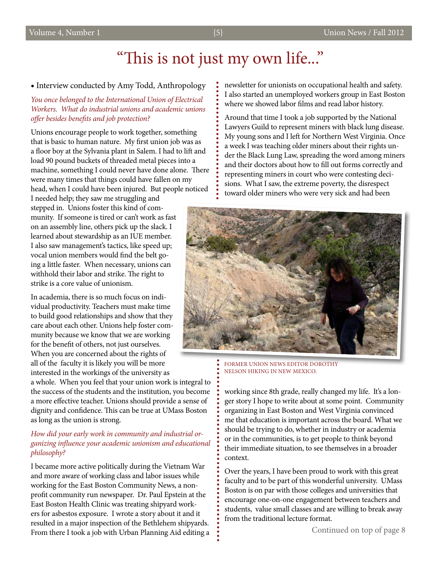#### **•** Interview conducted by Amy Todd, Anthropology

*You once belonged to the International Union of Electrical Workers. What do industrial unions and academic unions offer besides benefits and job protection?*

Unions encourage people to work together, something that is basic to human nature. My first union job was as a floor boy at the Sylvania plant in Salem. I had to lift and load 90 pound buckets of threaded metal pieces into a machine, something I could never have done alone. There were many times that things could have fallen on my head, when I could have been injured. But people noticed I needed help; they saw me struggling and

stepped in. Unions foster this kind of community. If someone is tired or can't work as fast on an assembly line, others pick up the slack. I learned about stewardship as an IUE member. I also saw management's tactics, like speed up; vocal union members would find the belt going a little faster. When necessary, unions can withhold their labor and strike. The right to strike is a core value of unionism.

In academia, there is so much focus on individual productivity. Teachers must make time to build good relationships and show that they care about each other. Unions help foster community because we know that we are working for the benefit of others, not just ourselves. When you are concerned about the rights of all of the faculty it is likely you will be more interested in the workings of the university as

a whole. When you feel that your union work is integral to the success of the students and the institution, you become a more effective teacher. Unions should provide a sense of dignity and confidence. This can be true at UMass Boston as long as the union is strong.

#### *How did your early work in community and industrial organizing influence your academic unionism and educational philosophy?*

I became more active politically during the Vietnam War and more aware of working class and labor issues while working for the East Boston Community News, a nonprofit community run newspaper. Dr. Paul Epstein at the East Boston Health Clinic was treating shipyard workers for asbestos exposure. I wrote a story about it and it resulted in a major inspection of the Bethlehem shipyards. From there I took a job with Urban Planning Aid editing a newsletter for unionists on occupational health and safety. I also started an unemployed workers group in East Boston where we showed labor films and read labor history.

Around that time I took a job supported by the National Lawyers Guild to represent miners with black lung disease. My young sons and I left for Northern West Virginia. Once a week I was teaching older miners about their rights under the Black Lung Law, spreading the word among miners and their doctors about how to fill out forms correctly and representing miners in court who were contesting decisions. What I saw, the extreme poverty, the disrespect toward older miners who were very sick and had been



Former Union News editor Dorothy Nelson Hiking in New mexico.

working since 8th grade, really changed my life. It's a longer story I hope to write about at some point. Community organizing in East Boston and West Virginia convinced me that education is important across the board. What we should be trying to do, whether in industry or academia or in the communities, is to get people to think beyond their immediate situation, to see themselves in a broader context.

Over the years, I have been proud to work with this great faculty and to be part of this wonderful university. UMass Boston is on par with those colleges and universities that encourage one-on-one engagement between teachers and students, value small classes and are willing to break away from the traditional lecture format.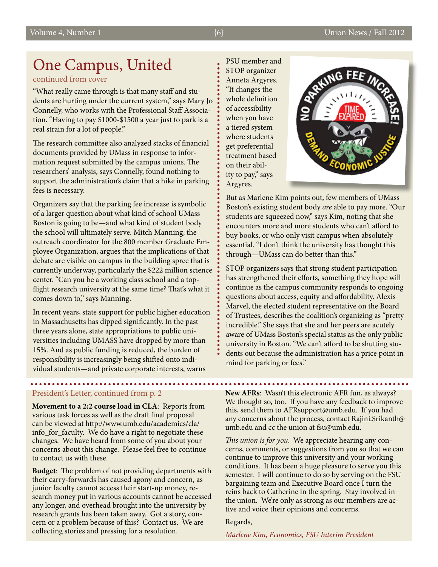### One Campus, United

#### continued from cover

"What really came through is that many staff and students are hurting under the current system," says Mary Jo Connelly, who works with the Professional Staff Association. "Having to pay \$1000-\$1500 a year just to park is a real strain for a lot of people."

The research committee also analyzed stacks of financial documents provided by UMass in response to information request submitted by the campus unions. The researchers' analysis, says Connelly, found nothing to support the administration's claim that a hike in parking fees is necessary.

Organizers say that the parking fee increase is symbolic of a larger question about what kind of school UMass Boston is going to be—and what kind of student body the school will ultimately serve. Mitch Manning, the outreach coordinator for the 800 member Graduate Employee Organization, argues that the implications of that debate are visible on campus in the building spree that is currently underway, particularly the \$222 million science center. "Can you be a working class school and a topflight research university at the same time? That's what it comes down to," says Manning.

In recent years, state support for public higher education in Massachusetts has dipped significantly. In the past three years alone, state appropriations to public universities including UMASS have dropped by more than 15%. And as public funding is reduced, the burden of responsibility is increasingly being shifted onto individual students—and private corporate interests, warns

#### President's Letter, continued from p. 2

**Movement to a 2:2 course load in CLA**: Reports from various task forces as well as the draft final proposal can be viewed at http://www.umb.edu/academics/cla/ info\_for\_faculty. We do have a right to negotiate these changes. We have heard from some of you about your concerns about this change. Please feel free to continue to contact us with these.

**Budget**: The problem of not providing departments with their carry-forwards has caused agony and concern, as junior faculty cannot access their start-up money, research money put in various accounts cannot be accessed any longer, and overhead brought into the university by research grants has been taken away. Got a story, concern or a problem because of this? Contact us. We are collecting stories and pressing for a resolution.

PSU member and STOP organizer Anneta Argyres. "It changes the whole definition of accessibility when you have a tiered system where students get preferential treatment based on their ability to pay," says Argyres.



But as Marlene Kim points out, few members of UMass Boston's existing student body *are* able to pay more. "Our students are squeezed now," says Kim, noting that she encounters more and more students who can't afford to buy books, or who only visit campus when absolutely essential. "I don't think the university has thought this through—UMass can do better than this."

STOP organizers says that strong student participation has strengthened their efforts, something they hope will continue as the campus community responds to ongoing questions about access, equity and affordability. Alexis Marvel, the elected student representative on the Board of Trustees, describes the coalition's organizing as "pretty incredible." She says that she and her peers are acutely aware of UMass Boston's special status as the only public university in Boston. "We can't afford to be shutting students out because the administration has a price point in mind for parking or fees."

**New AFRs**: Wasn't this electronic AFR fun, as always? We thought so, too. If you have any feedback to improve this, send them to AFRsupport@umb.edu. If you had any concerns about the process, contact Rajini.Srikanth@ umb.edu and cc the union at fsu@umb.edu.

*This union is for you*. We appreciate hearing any concerns, comments, or suggestions from you so that we can continue to improve this university and your working conditions. It has been a huge pleasure to serve you this semester. I will continue to do so by serving on the FSU bargaining team and Executive Board once I turn the reins back to Catherine in the spring. Stay involved in the union. We're only as strong as our members are active and voice their opinions and concerns.

#### Regards,

*Marlene Kim, Economics, FSU Interim President*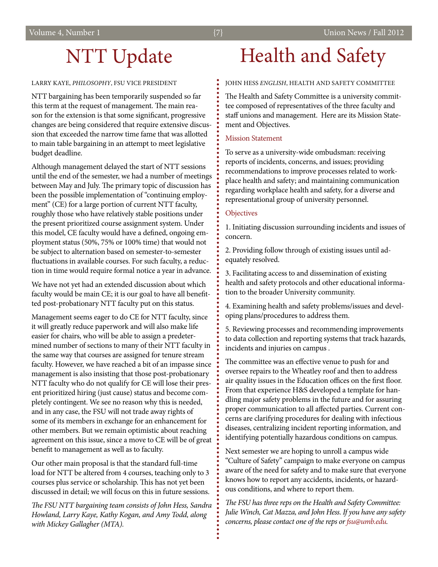## NTT Update

#### larry kaye, *philosophy*, FSU Vice President

NTT bargaining has been temporarily suspended so far this term at the request of management. The main reason for the extension is that some significant, progressive changes are being considered that require extensive discussion that exceeded the narrow time fame that was allotted to main table bargaining in an attempt to meet legislative budget deadline.

Although management delayed the start of NTT sessions until the end of the semester, we had a number of meetings between May and July. The primary topic of discussion has been the possible implementation of "continuing employment" (CE) for a large portion of current NTT faculty, roughly those who have relatively stable positions under the present prioritized course assignment system. Under this model, CE faculty would have a defined, ongoing employment status (50%, 75% or 100% time) that would not be subject to alternation based on semester-to-semester fluctuations in available courses. For such faculty, a reduction in time would require formal notice a year in advance.

We have not yet had an extended discussion about which faculty would be main CE; it is our goal to have all benefitted post-probationary NTT faculty put on this status.

Management seems eager to do CE for NTT faculty, since it will greatly reduce paperwork and will also make life easier for chairs, who will be able to assign a predetermined number of sections to many of their NTT faculty in the same way that courses are assigned for tenure stream faculty. However, we have reached a bit of an impasse since management is also insisting that those post-probationary NTT faculty who do not qualify for CE will lose their present prioritized hiring (just cause) status and become completely contingent. We see no reason why this is needed, and in any case, the FSU will not trade away rights of some of its members in exchange for an enhancement for other members. But we remain optimistic about reaching agreement on this issue, since a move to CE will be of great benefit to management as well as to faculty.

Our other main proposal is that the standard full-time load for NTT be altered from 4 courses, teaching only to 3 courses plus service or scholarship. This has not yet been discussed in detail; we will focus on this in future sessions.

*The FSU NTT bargaining team consists of John Hess, Sandra Howland, Larry Kaye, Kathy Kogan, and Amy Todd, along with Mickey Gallagher (MTA).*

## Health and Safety

#### John Hess *English*, health and safety Committee

The Health and Safety Committee is a university committee composed of representatives of the three faculty and staff unions and management. Here are its Mission Statement and Objectives.

#### Mission Statement

To serve as a university-wide ombudsman: receiving reports of incidents, concerns, and issues; providing recommendations to improve processes related to workplace health and safety; and maintaining communication regarding workplace health and safety, for a diverse and representational group of university personnel.

#### **Objectives**

1. Initiating discussion surrounding incidents and issues of concern.

2. Providing follow through of existing issues until adequately resolved.

3. Facilitating access to and dissemination of existing health and safety protocols and other educational information to the broader University community.

4. Examining health and safety problems/issues and developing plans/procedures to address them.

5. Reviewing processes and recommending improvements to data collection and reporting systems that track hazards, incidents and injuries on campus .

The committee was an effective venue to push for and oversee repairs to the Wheatley roof and then to address air quality issues in the Education offices on the first floor. From that experience H&S developed a template for handling major safety problems in the future and for assuring proper communication to all affected parties. Current concerns are clarifying procedures for dealing with infectious diseases, centralizing incident reporting information, and identifying potentially hazardous conditions on campus.

Next semester we are hoping to unroll a campus wide "Culture of Safety" campaign to make everyone on campus aware of the need for safety and to make sure that everyone knows how to report any accidents, incidents, or hazardous conditions, and where to report them.

*The FSU has three reps on the Health and Safety Committee: Julie Winch, Cat Mazza, and John Hess. If you have any safety concerns, please contact one of the reps or fsu@umb.edu.*